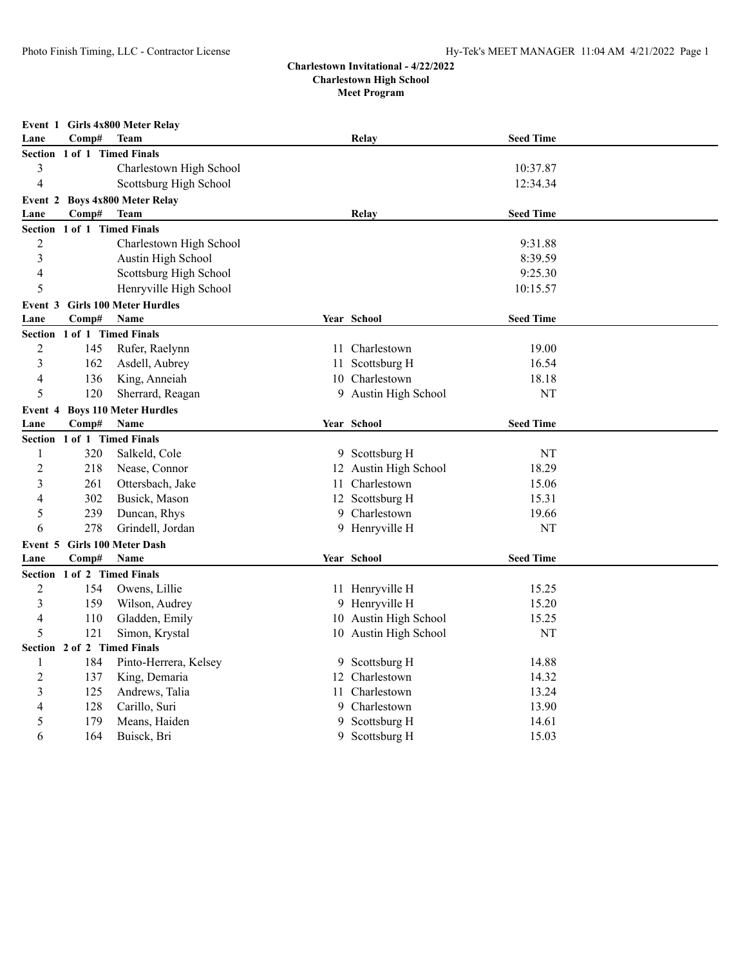| Event 1 Girls 4x800 Meter Relay |                                          |                                        |  |                       |                  |  |  |  |  |  |
|---------------------------------|------------------------------------------|----------------------------------------|--|-----------------------|------------------|--|--|--|--|--|
| Lane                            | Comp#                                    | <b>Team</b>                            |  | Relay                 | <b>Seed Time</b> |  |  |  |  |  |
|                                 |                                          | Section 1 of 1 Timed Finals            |  |                       |                  |  |  |  |  |  |
| 3                               |                                          | Charlestown High School                |  |                       | 10:37.87         |  |  |  |  |  |
| $\overline{4}$                  |                                          | Scottsburg High School                 |  |                       | 12:34.34         |  |  |  |  |  |
|                                 | <b>Boys 4x800 Meter Relay</b><br>Event 2 |                                        |  |                       |                  |  |  |  |  |  |
| Lane                            | Comp#                                    | <b>Team</b>                            |  | <b>Relay</b>          | <b>Seed Time</b> |  |  |  |  |  |
| <b>Section</b>                  |                                          | 1 of 1 Timed Finals                    |  |                       |                  |  |  |  |  |  |
| $\overline{2}$                  |                                          | Charlestown High School                |  |                       | 9:31.88          |  |  |  |  |  |
| 3                               |                                          | Austin High School                     |  |                       | 8:39.59          |  |  |  |  |  |
| $\overline{4}$                  |                                          | Scottsburg High School                 |  |                       | 9:25.30          |  |  |  |  |  |
| 5                               |                                          | Henryville High School                 |  |                       | 10:15.57         |  |  |  |  |  |
|                                 |                                          | <b>Event 3 Girls 100 Meter Hurdles</b> |  |                       |                  |  |  |  |  |  |
| Lane                            | Comp#                                    | Name                                   |  | Year School           | <b>Seed Time</b> |  |  |  |  |  |
|                                 |                                          | Section 1 of 1 Timed Finals            |  |                       |                  |  |  |  |  |  |
| $\overline{2}$                  | 145                                      | Rufer, Raelynn                         |  | 11 Charlestown        | 19.00            |  |  |  |  |  |
| 3                               | 162                                      | Asdell, Aubrey                         |  | 11 Scottsburg H       | 16.54            |  |  |  |  |  |
| $\overline{4}$                  | 136                                      | King, Anneiah                          |  | 10 Charlestown        | 18.18            |  |  |  |  |  |
| 5                               | 120                                      | Sherrard, Reagan                       |  | 9 Austin High School  | NT               |  |  |  |  |  |
|                                 |                                          | Event 4 Boys 110 Meter Hurdles         |  |                       |                  |  |  |  |  |  |
| Lane                            | Comp#                                    | Name                                   |  | Year School           | <b>Seed Time</b> |  |  |  |  |  |
|                                 |                                          | Section 1 of 1 Timed Finals            |  |                       |                  |  |  |  |  |  |
| 1                               | 320                                      | Salkeld, Cole                          |  | 9 Scottsburg H        | NT               |  |  |  |  |  |
| $\overline{2}$                  | 218                                      | Nease, Connor                          |  | 12 Austin High School | 18.29            |  |  |  |  |  |
| 3                               | 261                                      | Ottersbach, Jake                       |  | 11 Charlestown        | 15.06            |  |  |  |  |  |
| $\overline{4}$                  | 302                                      | Busick, Mason                          |  | 12 Scottsburg H       | 15.31            |  |  |  |  |  |
| 5                               | 239                                      | Duncan, Rhys                           |  | 9 Charlestown         | 19.66            |  |  |  |  |  |
| 6                               | 278                                      | Grindell, Jordan                       |  | 9 Henryville H        | NT               |  |  |  |  |  |
| Event 5                         |                                          | Girls 100 Meter Dash                   |  |                       |                  |  |  |  |  |  |
| Lane                            | Comp#                                    | Name                                   |  | Year School           | <b>Seed Time</b> |  |  |  |  |  |
|                                 |                                          | Section 1 of 2 Timed Finals            |  |                       |                  |  |  |  |  |  |
| $\overline{2}$                  | 154                                      | Owens, Lillie                          |  | 11 Henryville H       | 15.25            |  |  |  |  |  |
| 3                               | 159                                      | Wilson, Audrey                         |  | 9 Henryville H        | 15.20            |  |  |  |  |  |
| $\overline{4}$                  | 110                                      | Gladden, Emily                         |  | 10 Austin High School | 15.25            |  |  |  |  |  |
| 5                               | 121                                      | Simon, Krystal                         |  | 10 Austin High School | NT               |  |  |  |  |  |
|                                 |                                          | Section 2 of 2 Timed Finals            |  |                       |                  |  |  |  |  |  |
| 1                               | 184                                      | Pinto-Herrera, Kelsey                  |  | 9 Scottsburg H        | 14.88            |  |  |  |  |  |
| $\overline{2}$                  | 137                                      | King, Demaria                          |  | 12 Charlestown        | 14.32            |  |  |  |  |  |
| 3                               | 125                                      | Andrews, Talia                         |  | 11 Charlestown        | 13.24            |  |  |  |  |  |
| 4                               | 128                                      | Carillo, Suri                          |  | 9 Charlestown         | 13.90            |  |  |  |  |  |
| 5                               | 179                                      | Means, Haiden                          |  | 9 Scottsburg H        | 14.61            |  |  |  |  |  |
| 6                               | 164                                      | Buisck, Bri                            |  | 9 Scottsburg H        | 15.03            |  |  |  |  |  |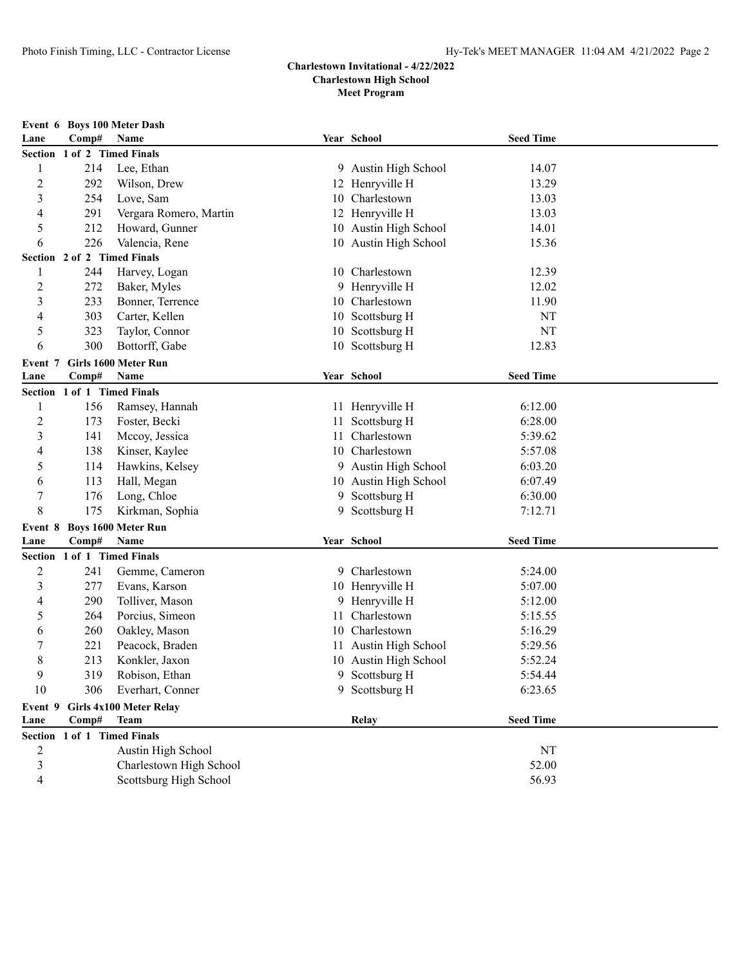|                |                             | Event 6 Boys 100 Meter Dash |     |                       |                  |  |
|----------------|-----------------------------|-----------------------------|-----|-----------------------|------------------|--|
| Lane           | Comp#                       | Name                        |     | Year School           | <b>Seed Time</b> |  |
|                | Section 1 of 2 Timed Finals |                             |     |                       |                  |  |
| 1              | 214                         | Lee, Ethan                  |     | 9 Austin High School  | 14.07            |  |
| $\overline{c}$ | 292                         | Wilson, Drew                |     | 12 Henryville H       | 13.29            |  |
| $\mathfrak{Z}$ | 254                         | Love, Sam                   |     | 10 Charlestown        | 13.03            |  |
| 4              | 291                         | Vergara Romero, Martin      |     | 12 Henryville H       | 13.03            |  |
| 5              | 212                         | Howard, Gunner              |     | 10 Austin High School | 14.01            |  |
| 6              | 226                         | Valencia, Rene              |     | 10 Austin High School | 15.36            |  |
|                | Section 2 of 2 Timed Finals |                             |     |                       |                  |  |
| 1              | 244                         | Harvey, Logan               |     | 10 Charlestown        | 12.39            |  |
| 2              | 272                         | Baker, Myles                |     | 9 Henryville H        | 12.02            |  |
| $\mathfrak{Z}$ | 233                         | Bonner, Terrence            |     | 10 Charlestown        | 11.90            |  |
| 4              | 303                         | Carter, Kellen              |     | 10 Scottsburg H       | NT               |  |
| 5              | 323                         | Taylor, Connor              |     | 10 Scottsburg H       | NT               |  |
| 6              | 300                         | Bottorff, Gabe              |     | 10 Scottsburg H       | 12.83            |  |
| Event 7        |                             | Girls 1600 Meter Run        |     |                       |                  |  |
| Lane           | Comp#                       | Name                        |     | Year School           | <b>Seed Time</b> |  |
| <b>Section</b> | 1 of 1 Timed Finals         |                             |     |                       |                  |  |
| 1              | 156                         | Ramsey, Hannah              |     | 11 Henryville H       | 6:12.00          |  |
| $\overline{c}$ | 173                         | Foster, Becki               | 11. | Scottsburg H          | 6:28.00          |  |
| 3              | 141                         | Mccoy, Jessica              | 11. | Charlestown           | 5:39.62          |  |
| 4              | 138                         | Kinser, Kaylee              |     | 10 Charlestown        | 5:57.08          |  |
| 5              | 114                         | Hawkins, Kelsey             |     | 9 Austin High School  | 6:03.20          |  |
| 6              | 113                         | Hall, Megan                 |     | 10 Austin High School | 6:07.49          |  |
| 7              | 176                         | Long, Chloe                 |     | 9 Scottsburg H        | 6:30.00          |  |
| 8              | 175                         | Kirkman, Sophia             | 9.  | Scottsburg H          | 7:12.71          |  |
| Event 8        |                             | <b>Boys 1600 Meter Run</b>  |     |                       |                  |  |
| Lane           | Comp#                       | Name                        |     | Year School           | <b>Seed Time</b> |  |
|                | Section 1 of 1 Timed Finals |                             |     |                       |                  |  |
| $\overline{2}$ | 241                         | Gemme, Cameron              |     | 9 Charlestown         | 5:24.00          |  |
| 3              | 277                         | Evans, Karson               |     | 10 Henryville H       | 5:07.00          |  |
| 4              | 290                         | Tolliver, Mason             |     | 9 Henryville H        | 5:12.00          |  |
| 5              | 264                         | Porcius, Simeon             | 11  | Charlestown           | 5:15.55          |  |
| 6              | 260                         | Oakley, Mason               | 10  | Charlestown           | 5:16.29          |  |
| 7              | 221                         | Peacock, Braden             |     | 11 Austin High School | 5:29.56          |  |
| 8              | 213                         | Konkler, Jaxon              |     | 10 Austin High School | 5:52.24          |  |
| 9              | 319                         | Robison, Ethan              |     | 9 Scottsburg H        | 5:54.44          |  |
| 10             | 306                         | Everhart, Conner            |     | 9 Scottsburg H        | 6:23.65          |  |
| Event 9        |                             | Girls 4x100 Meter Relay     |     |                       |                  |  |
| Lane           | Comp#                       | <b>Team</b>                 |     | Relay                 | <b>Seed Time</b> |  |
| <b>Section</b> |                             | 1 of 1 Timed Finals         |     |                       |                  |  |
| 2              |                             | Austin High School          |     |                       | NT               |  |
| $\sqrt{3}$     |                             | Charlestown High School     |     |                       | 52.00            |  |
| $\overline{4}$ |                             | Scottsburg High School      |     |                       | 56.93            |  |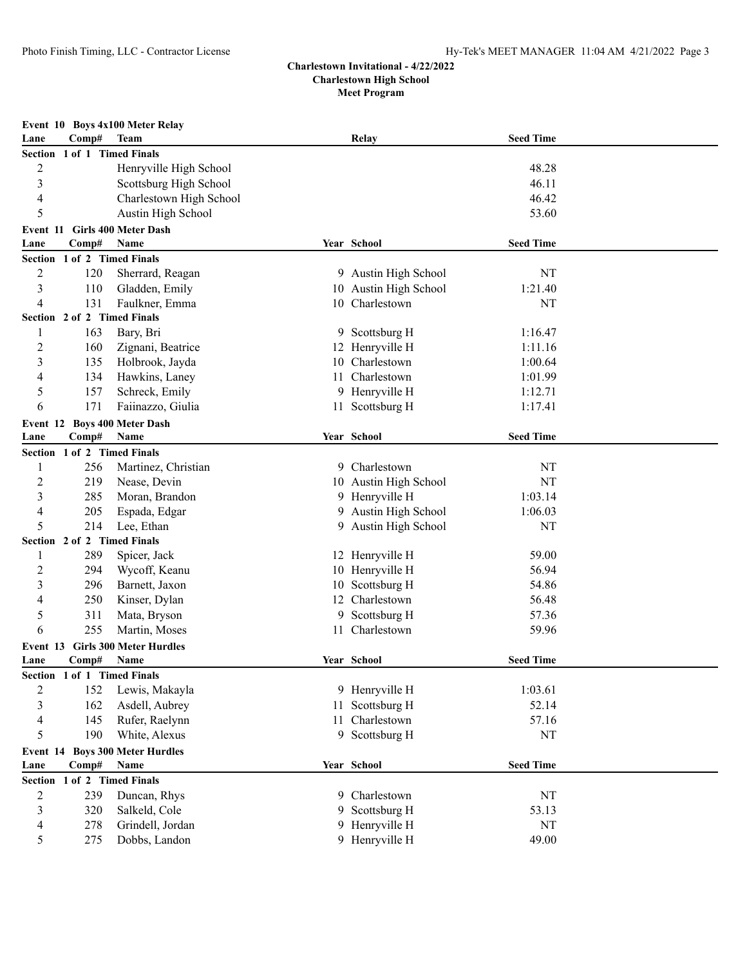| Event 10 Boys 4x100 Meter Relay |                             |                                |     |                       |                  |  |  |  |
|---------------------------------|-----------------------------|--------------------------------|-----|-----------------------|------------------|--|--|--|
| Lane                            | Comp#                       | Team                           |     | Relay                 | <b>Seed Time</b> |  |  |  |
| Section 1 of 1 Timed Finals     |                             |                                |     |                       |                  |  |  |  |
| 2                               |                             | Henryville High School         |     |                       | 48.28            |  |  |  |
| 3                               |                             | Scottsburg High School         |     |                       | 46.11            |  |  |  |
| 4                               |                             | Charlestown High School        |     |                       | 46.42            |  |  |  |
| 5                               |                             | Austin High School             |     |                       | 53.60            |  |  |  |
| Event 11                        |                             | <b>Girls 400 Meter Dash</b>    |     |                       |                  |  |  |  |
| Lane                            | Comp#                       | Name                           |     | Year School           | <b>Seed Time</b> |  |  |  |
| <b>Section</b>                  | 1 of 2 Timed Finals         |                                |     |                       |                  |  |  |  |
| $\overline{2}$                  | 120                         | Sherrard, Reagan               |     | 9 Austin High School  | NT               |  |  |  |
| 3                               | 110                         | Gladden, Emily                 |     | 10 Austin High School | 1:21.40          |  |  |  |
| 4                               | 131                         | Faulkner, Emma                 |     | 10 Charlestown        | NT               |  |  |  |
|                                 | Section 2 of 2 Timed Finals |                                |     |                       |                  |  |  |  |
| 1                               | 163                         | Bary, Bri                      |     | 9 Scottsburg H        | 1:16.47          |  |  |  |
| 2                               | 160                         | Zignani, Beatrice              |     | 12 Henryville H       | 1:11.16          |  |  |  |
| 3                               | 135                         | Holbrook, Jayda                | 10. | Charlestown           | 1:00.64          |  |  |  |
| 4                               | 134                         | Hawkins, Laney                 |     | 11 Charlestown        | 1:01.99          |  |  |  |
| 5                               | 157                         | Schreck, Emily                 |     | 9 Henryville H        | 1:12.71          |  |  |  |
| 6                               | 171                         | Faiinazzo, Giulia              |     | 11 Scottsburg H       | 1:17.41          |  |  |  |
| Event 12                        |                             | <b>Boys 400 Meter Dash</b>     |     |                       |                  |  |  |  |
| Lane                            | Comp#                       | Name                           |     | Year School           | <b>Seed Time</b> |  |  |  |
|                                 | Section 1 of 2 Timed Finals |                                |     |                       |                  |  |  |  |
| 1                               | 256                         | Martinez, Christian            |     | 9 Charlestown         | NT               |  |  |  |
| $\overline{c}$                  | 219                         | Nease, Devin                   |     | 10 Austin High School | NT               |  |  |  |
| 3                               | 285                         | Moran, Brandon                 |     | 9 Henryville H        | 1:03.14          |  |  |  |
| 4                               | 205                         | Espada, Edgar                  |     | 9 Austin High School  | 1:06.03          |  |  |  |
| 5                               | 214                         | Lee, Ethan                     |     | 9 Austin High School  | NT               |  |  |  |
|                                 | Section 2 of 2 Timed Finals |                                |     |                       |                  |  |  |  |
| 1                               | 289                         | Spicer, Jack                   |     | 12 Henryville H       | 59.00            |  |  |  |
| $\overline{c}$                  | 294                         | Wycoff, Keanu                  |     | 10 Henryville H       | 56.94            |  |  |  |
| 3                               | 296                         | Barnett, Jaxon                 |     | 10 Scottsburg H       | 54.86            |  |  |  |
| 4                               | 250                         | Kinser, Dylan                  |     | 12 Charlestown        | 56.48            |  |  |  |
| 5                               | 311                         | Mata, Bryson                   | 9   | Scottsburg H          | 57.36            |  |  |  |
| 6                               | 255                         | Martin, Moses                  |     | 11 Charlestown        | 59.96            |  |  |  |
| Event 13                        |                             | <b>Girls 300 Meter Hurdles</b> |     |                       |                  |  |  |  |
| Lane                            | Comp#                       | Name                           |     | Year School           | <b>Seed Time</b> |  |  |  |
|                                 | Section 1 of 1 Timed Finals |                                |     |                       |                  |  |  |  |
| 2                               | 152                         | Lewis, Makayla                 |     | 9 Henryville H        | 1:03.61          |  |  |  |
| 3                               | 162                         | Asdell, Aubrey                 |     | 11 Scottsburg H       | 52.14            |  |  |  |
| 4                               | 145                         | Rufer, Raelynn                 |     | 11 Charlestown        | 57.16            |  |  |  |
| 5                               | 190                         | White, Alexus                  |     | 9 Scottsburg H        | NT               |  |  |  |
| Event 14                        |                             | <b>Boys 300 Meter Hurdles</b>  |     |                       |                  |  |  |  |
| Lane                            | Comp#                       | Name                           |     | Year School           | <b>Seed Time</b> |  |  |  |
| <b>Section</b>                  | 1 of 2 Timed Finals         |                                |     |                       |                  |  |  |  |
| 2                               | 239                         | Duncan, Rhys                   |     | 9 Charlestown         | NT               |  |  |  |
| 3                               | 320                         | Salkeld, Cole                  | 9   | Scottsburg H          | 53.13            |  |  |  |
| 4                               | 278                         | Grindell, Jordan               |     | 9 Henryville H        | NT               |  |  |  |
| 5                               | 275                         | Dobbs, Landon                  |     | 9 Henryville H        | 49.00            |  |  |  |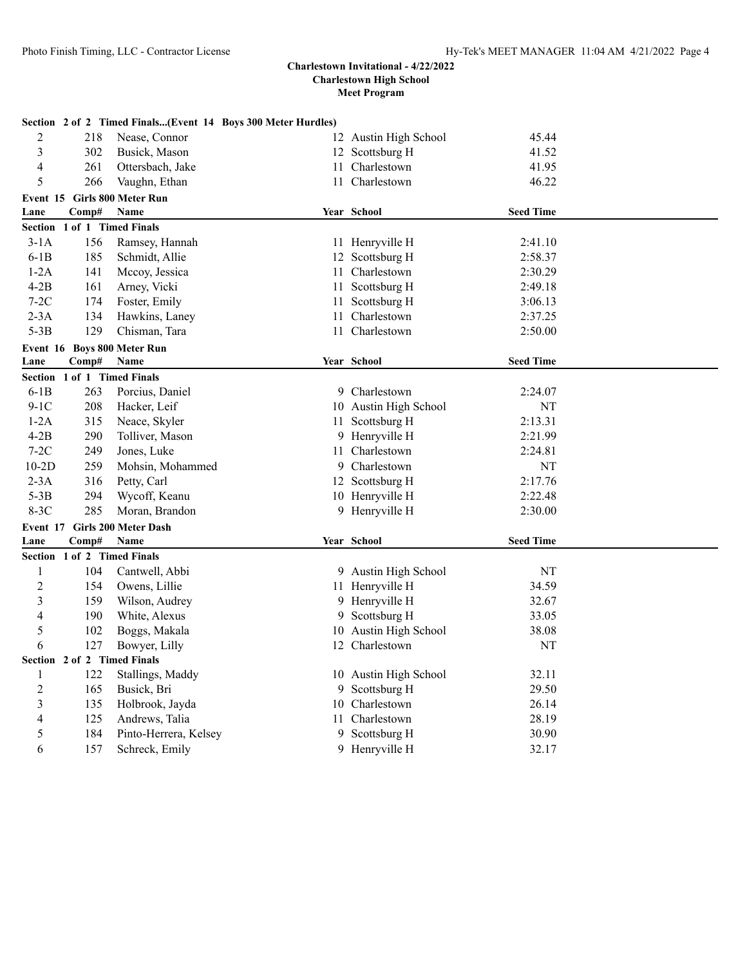|                          |                             | Section 2 of 2 Timed Finals(Event 14 Boys 300 Meter Hurdles) |                       |                  |  |
|--------------------------|-----------------------------|--------------------------------------------------------------|-----------------------|------------------|--|
| 2                        | 218                         | Nease, Connor                                                | 12 Austin High School | 45.44            |  |
| 3                        | 302                         | Busick, Mason                                                | 12 Scottsburg H       | 41.52            |  |
| $\overline{4}$           | 261                         | Ottersbach, Jake                                             | 11 Charlestown        | 41.95            |  |
| 5                        | 266                         | Vaughn, Ethan                                                | 11 Charlestown        | 46.22            |  |
|                          |                             | Event 15 Girls 800 Meter Run                                 |                       |                  |  |
| Lane                     | Comp#                       | Name                                                         | Year School           | <b>Seed Time</b> |  |
|                          | Section 1 of 1 Timed Finals |                                                              |                       |                  |  |
| $3-1A$                   | 156                         | Ramsey, Hannah                                               | 11 Henryville H       | 2:41.10          |  |
| $6-1B$                   | 185                         | Schmidt, Allie                                               | 12 Scottsburg H       | 2:58.37          |  |
| $1-2A$                   | 141                         | Mccoy, Jessica                                               | 11 Charlestown        | 2:30.29          |  |
| $4-2B$                   | 161                         | Arney, Vicki                                                 | 11 Scottsburg H       | 2:49.18          |  |
| $7-2C$                   | 174                         | Foster, Emily                                                | 11 Scottsburg H       | 3:06.13          |  |
| $2-3A$                   | 134                         | Hawkins, Laney                                               | 11 Charlestown        | 2:37.25          |  |
| $5-3B$                   | 129                         | Chisman, Tara                                                | 11 Charlestown        | 2:50.00          |  |
|                          |                             | Event 16 Boys 800 Meter Run                                  |                       |                  |  |
| Lane                     | Comp#                       | Name                                                         | Year School           | <b>Seed Time</b> |  |
| <b>Section</b>           |                             | 1 of 1 Timed Finals                                          |                       |                  |  |
| $6-1B$                   | 263                         | Porcius, Daniel                                              | 9 Charlestown         | 2:24.07          |  |
| $9-1C$                   | 208                         | Hacker, Leif                                                 | 10 Austin High School | NT               |  |
| $1-2A$                   | 315                         | Neace, Skyler                                                | 11 Scottsburg H       | 2:13.31          |  |
| $4-2B$                   | 290                         | Tolliver, Mason                                              | 9 Henryville H        | 2:21.99          |  |
| $7-2C$                   | 249                         | Jones, Luke                                                  | 11 Charlestown        | 2:24.81          |  |
| $10-2D$                  | 259                         | Mohsin, Mohammed                                             | 9 Charlestown         | NT               |  |
| $2-3A$                   | 316                         | Petty, Carl                                                  | 12 Scottsburg H       | 2:17.76          |  |
| $5-3B$                   | 294                         | Wycoff, Keanu                                                | 10 Henryville H       | 2:22.48          |  |
| $8-3C$                   | 285                         | Moran, Brandon                                               | 9 Henryville H        | 2:30.00          |  |
| Event 17                 |                             | <b>Girls 200 Meter Dash</b>                                  |                       |                  |  |
| Lane                     | Comp#                       | Name                                                         | Year School           | <b>Seed Time</b> |  |
|                          | Section 1 of 2 Timed Finals |                                                              |                       |                  |  |
| 1                        | 104                         | Cantwell, Abbi                                               | 9 Austin High School  | NT               |  |
| $\overline{c}$           | 154                         | Owens, Lillie                                                | 11 Henryville H       | 34.59            |  |
| 3                        | 159                         | Wilson, Audrey                                               | 9 Henryville H        | 32.67            |  |
| 4                        | 190                         | White, Alexus                                                | 9 Scottsburg H        | 33.05            |  |
| 5                        | 102                         | Boggs, Makala                                                | 10 Austin High School | 38.08            |  |
| 6                        | 127                         | Bowyer, Lilly                                                | 12 Charlestown        | NT               |  |
|                          |                             | Section 2 of 2 Timed Finals                                  |                       |                  |  |
| $\mathbf{1}$             | 122                         | Stallings, Maddy                                             | 10 Austin High School | 32.11            |  |
| $\sqrt{2}$               | 165                         | Busick, Bri                                                  | 9 Scottsburg H        | 29.50            |  |
| $\mathfrak{Z}$           | 135                         | Holbrook, Jayda                                              | 10 Charlestown        | 26.14            |  |
| $\overline{\mathcal{A}}$ | 125                         | Andrews, Talia                                               | 11 Charlestown        | 28.19            |  |
| 5                        | 184                         | Pinto-Herrera, Kelsey                                        | 9 Scottsburg H        | 30.90            |  |
| 6                        | 157                         | Schreck, Emily                                               | 9 Henryville H        | 32.17            |  |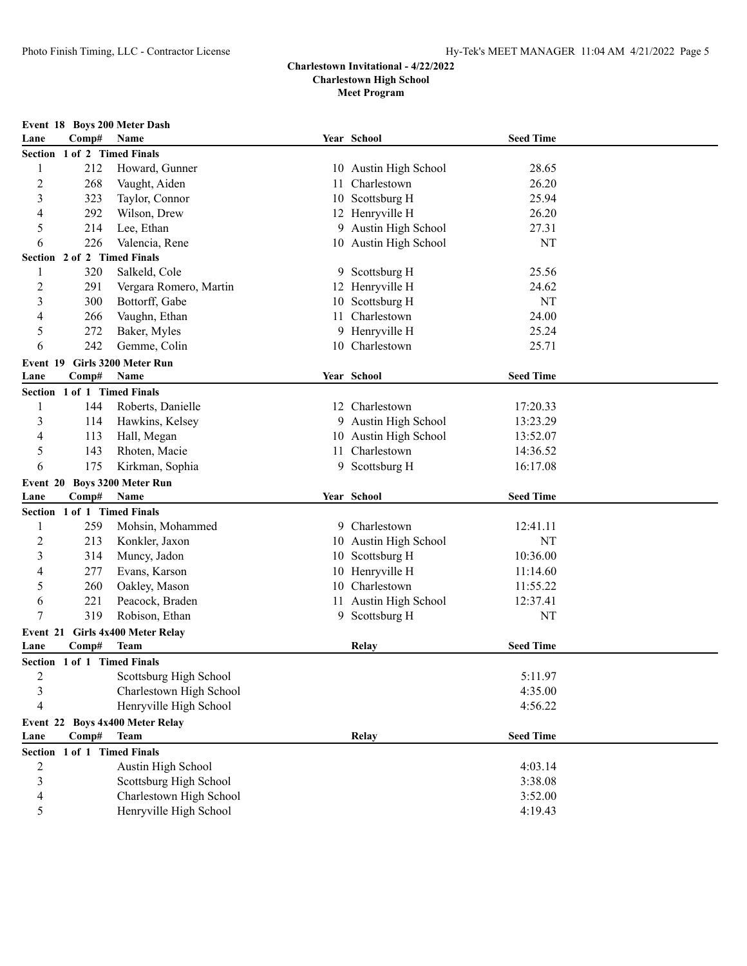|                |       | Event 18 Boys 200 Meter Dash     |     |                       |                  |  |
|----------------|-------|----------------------------------|-----|-----------------------|------------------|--|
| Lane           | Comp# | Name                             |     | Year School           | <b>Seed Time</b> |  |
|                |       | Section 1 of 2 Timed Finals      |     |                       |                  |  |
| 1              | 212   | Howard, Gunner                   |     | 10 Austin High School | 28.65            |  |
| $\overline{c}$ | 268   | Vaught, Aiden                    | 11. | Charlestown           | 26.20            |  |
| 3              | 323   | Taylor, Connor                   |     | 10 Scottsburg H       | 25.94            |  |
| 4              | 292   | Wilson, Drew                     |     | 12 Henryville H       | 26.20            |  |
| 5              | 214   | Lee, Ethan                       |     | 9 Austin High School  | 27.31            |  |
| 6              | 226   | Valencia, Rene                   |     | 10 Austin High School | NT               |  |
|                |       | Section 2 of 2 Timed Finals      |     |                       |                  |  |
| 1              | 320   | Salkeld, Cole                    |     | 9 Scottsburg H        | 25.56            |  |
| $\overline{c}$ | 291   | Vergara Romero, Martin           |     | 12 Henryville H       | 24.62            |  |
| 3              | 300   | Bottorff, Gabe                   |     | 10 Scottsburg H       | NT               |  |
| 4              | 266   | Vaughn, Ethan                    |     | 11 Charlestown        | 24.00            |  |
| 5              | 272   | Baker, Myles                     |     | 9 Henryville H        | 25.24            |  |
| 6              | 242   | Gemme, Colin                     |     | 10 Charlestown        | 25.71            |  |
| Event 19       |       | Girls 3200 Meter Run             |     |                       |                  |  |
| Lane           | Comp# | Name                             |     | Year School           | <b>Seed Time</b> |  |
|                |       | Section 1 of 1 Timed Finals      |     |                       |                  |  |
| 1              | 144   | Roberts, Danielle                |     | 12 Charlestown        | 17:20.33         |  |
| 3              | 114   | Hawkins, Kelsey                  |     | 9 Austin High School  | 13:23.29         |  |
| 4              | 113   | Hall, Megan                      |     | 10 Austin High School | 13:52.07         |  |
| 5              | 143   | Rhoten, Macie                    |     | 11 Charlestown        | 14:36.52         |  |
| 6              | 175   | Kirkman, Sophia                  |     | 9 Scottsburg H        | 16:17.08         |  |
| Event 20       |       | <b>Boys 3200 Meter Run</b>       |     |                       |                  |  |
| Lane           | Comp# | Name                             |     | Year School           | <b>Seed Time</b> |  |
|                |       | Section 1 of 1 Timed Finals      |     |                       |                  |  |
| 1              | 259   | Mohsin, Mohammed                 |     | 9 Charlestown         | 12:41.11         |  |
| $\overline{c}$ | 213   | Konkler, Jaxon                   |     | 10 Austin High School | NT               |  |
| 3              | 314   | Muncy, Jadon                     |     | 10 Scottsburg H       | 10:36.00         |  |
| 4              | 277   | Evans, Karson                    |     | 10 Henryville H       | 11:14.60         |  |
| 5              | 260   | Oakley, Mason                    |     | 10 Charlestown        | 11:55.22         |  |
| 6              | 221   | Peacock, Braden                  | 11. | Austin High School    | 12:37.41         |  |
| 7              | 319   | Robison, Ethan                   |     | 9 Scottsburg H        | NT               |  |
|                |       | Event 21 Girls 4x400 Meter Relay |     |                       |                  |  |
| Lane           | Comp# | <b>Team</b>                      |     | Relay                 | <b>Seed Time</b> |  |
|                |       | Section 1 of 1 Timed Finals      |     |                       |                  |  |
| $\overline{c}$ |       | Scottsburg High School           |     |                       | 5:11.97          |  |
| 3              |       | Charlestown High School          |     |                       | 4:35.00          |  |
| $\overline{4}$ |       | Henryville High School           |     |                       | 4:56.22          |  |
| Event 22       |       | <b>Boys 4x400 Meter Relay</b>    |     |                       |                  |  |
| Lane           | Comp# | <b>Team</b>                      |     | Relay                 | <b>Seed Time</b> |  |
| <b>Section</b> |       | 1 of 1 Timed Finals              |     |                       |                  |  |
| $\overline{c}$ |       | Austin High School               |     |                       | 4:03.14          |  |
| 3              |       | Scottsburg High School           |     |                       | 3:38.08          |  |
| 4              |       | Charlestown High School          |     |                       | 3:52.00          |  |
| 5              |       | Henryville High School           |     |                       | 4:19.43          |  |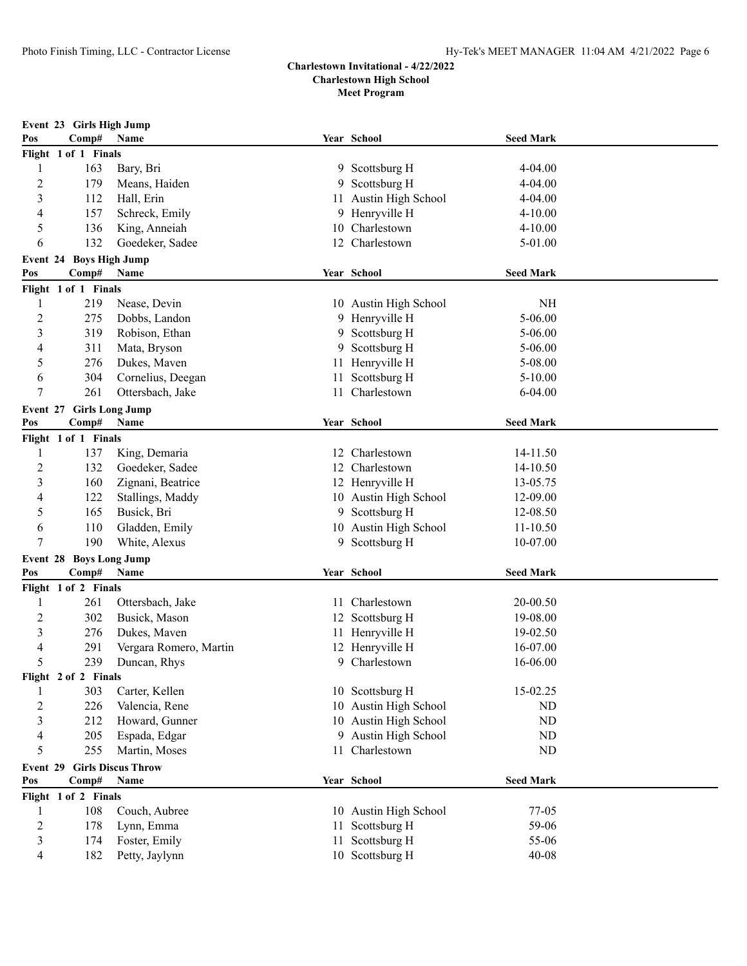|                 | Event 23 Girls High Jump |                                 |     |                                    |                  |  |  |  |  |
|-----------------|--------------------------|---------------------------------|-----|------------------------------------|------------------|--|--|--|--|
| Pos             | Comp#                    | Name                            |     | Year School                        | <b>Seed Mark</b> |  |  |  |  |
|                 | Flight 1 of 1 Finals     |                                 |     |                                    |                  |  |  |  |  |
| 1               | 163                      | Bary, Bri                       |     | 9 Scottsburg H                     | $4 - 04.00$      |  |  |  |  |
| 2               | 179                      | Means, Haiden                   | 9.  | Scottsburg H                       | $4 - 04.00$      |  |  |  |  |
| 3               | 112                      | Hall, Erin                      | 11  | Austin High School                 | $4 - 04.00$      |  |  |  |  |
| 4               | 157                      | Schreck, Emily                  |     | 9 Henryville H                     | $4 - 10.00$      |  |  |  |  |
| 5               | 136                      | King, Anneiah                   | 10  | Charlestown                        | $4 - 10.00$      |  |  |  |  |
| 6               | 132                      | Goedeker, Sadee                 |     | 12 Charlestown                     | 5-01.00          |  |  |  |  |
|                 | Event 24 Boys High Jump  |                                 |     |                                    |                  |  |  |  |  |
| Pos             | Comp#                    | Name                            |     | Year School                        | <b>Seed Mark</b> |  |  |  |  |
|                 | Flight 1 of 1 Finals     |                                 |     |                                    |                  |  |  |  |  |
| 1               | 219                      | Nease, Devin                    |     | 10 Austin High School              | NH               |  |  |  |  |
| $\overline{c}$  | 275                      | Dobbs, Landon                   |     | 9 Henryville H                     | 5-06.00          |  |  |  |  |
| 3               | 319                      | Robison, Ethan                  |     | 9 Scottsburg H                     | 5-06.00          |  |  |  |  |
| 4               | 311                      | Mata, Bryson                    |     | 9 Scottsburg H                     | $5 - 06.00$      |  |  |  |  |
| 5               | 276                      | Dukes, Maven                    | 11  | Henryville H                       | 5-08.00          |  |  |  |  |
| 6               | 304                      | Cornelius, Deegan               | 11  | Scottsburg H                       | $5 - 10.00$      |  |  |  |  |
| 7               | 261                      | Ottersbach, Jake                |     | 11 Charlestown                     | $6 - 04.00$      |  |  |  |  |
|                 | Event 27 Girls Long Jump |                                 |     |                                    |                  |  |  |  |  |
| Pos             | Comp#                    | Name                            |     | Year School                        | <b>Seed Mark</b> |  |  |  |  |
|                 | Flight 1 of 1 Finals     |                                 |     |                                    |                  |  |  |  |  |
| 1               | 137                      | King, Demaria                   |     | 12 Charlestown                     | 14-11.50         |  |  |  |  |
| 2               | 132                      | Goedeker, Sadee                 |     | 12 Charlestown                     | 14-10.50         |  |  |  |  |
| 3               | 160                      | Zignani, Beatrice               |     | 12 Henryville H                    | 13-05.75         |  |  |  |  |
| 4               | 122                      | Stallings, Maddy                |     | 10 Austin High School              | 12-09.00         |  |  |  |  |
| 5               | 165                      | Busick, Bri                     |     | 9 Scottsburg H                     | 12-08.50         |  |  |  |  |
| 6               | 110                      | Gladden, Emily                  |     | 10 Austin High School              | 11-10.50         |  |  |  |  |
| 7               | 190                      | White, Alexus                   |     | 9 Scottsburg H                     | 10-07.00         |  |  |  |  |
|                 | Event 28 Boys Long Jump  |                                 |     |                                    |                  |  |  |  |  |
| Pos             | Comp#                    | Name                            |     | Year School                        | <b>Seed Mark</b> |  |  |  |  |
|                 | Flight 1 of 2 Finals     |                                 |     |                                    |                  |  |  |  |  |
| 1               | 261                      | Ottersbach, Jake                | 11. | Charlestown                        | 20-00.50         |  |  |  |  |
| $\overline{c}$  | 302                      | Busick, Mason                   |     | 12 Scottsburg H                    | 19-08.00         |  |  |  |  |
| 3               | 276                      | Dukes, Maven                    |     | 11 Henryville H                    | 19-02.50         |  |  |  |  |
| 4               | 291                      | Vergara Romero, Martin          |     | 12 Henryville H                    | 16-07.00         |  |  |  |  |
| 5               | 239                      | Duncan, Rhys                    |     | 9 Charlestown                      | 16-06.00         |  |  |  |  |
|                 | Flight 2 of 2 Finals     |                                 |     |                                    |                  |  |  |  |  |
|                 | 303                      | Carter, Kellen                  |     | 10 Scottsburg H                    | 15-02.25         |  |  |  |  |
| $\overline{c}$  | 226                      | Valencia, Rene                  |     | 10 Austin High School              | ND               |  |  |  |  |
| 3               | 212                      | Howard, Gunner                  |     | 10 Austin High School              | ${\rm ND}$       |  |  |  |  |
| 4               | 205                      | Espada, Edgar                   |     | 9 Austin High School               | ${\rm ND}$       |  |  |  |  |
| 5               | 255                      | Martin, Moses                   |     | 11 Charlestown                     | ${\rm ND}$       |  |  |  |  |
|                 |                          | <b>Girls Discus Throw</b>       |     |                                    |                  |  |  |  |  |
| Event 29<br>Pos |                          |                                 |     |                                    |                  |  |  |  |  |
|                 | Comp#                    | Name                            |     | Year School                        | <b>Seed Mark</b> |  |  |  |  |
|                 | Flight 1 of 2 Finals     |                                 |     |                                    |                  |  |  |  |  |
| 1               | 108                      | Couch, Aubree                   |     | 10 Austin High School              | 77-05            |  |  |  |  |
| 2               | 178                      | Lynn, Emma                      |     | 11 Scottsburg H                    | 59-06            |  |  |  |  |
| 3               | 174                      | Foster, Emily<br>Petty, Jaylynn |     | 11 Scottsburg H<br>10 Scottsburg H | 55-06            |  |  |  |  |
| 4               | 182                      |                                 |     |                                    | $40 - 08$        |  |  |  |  |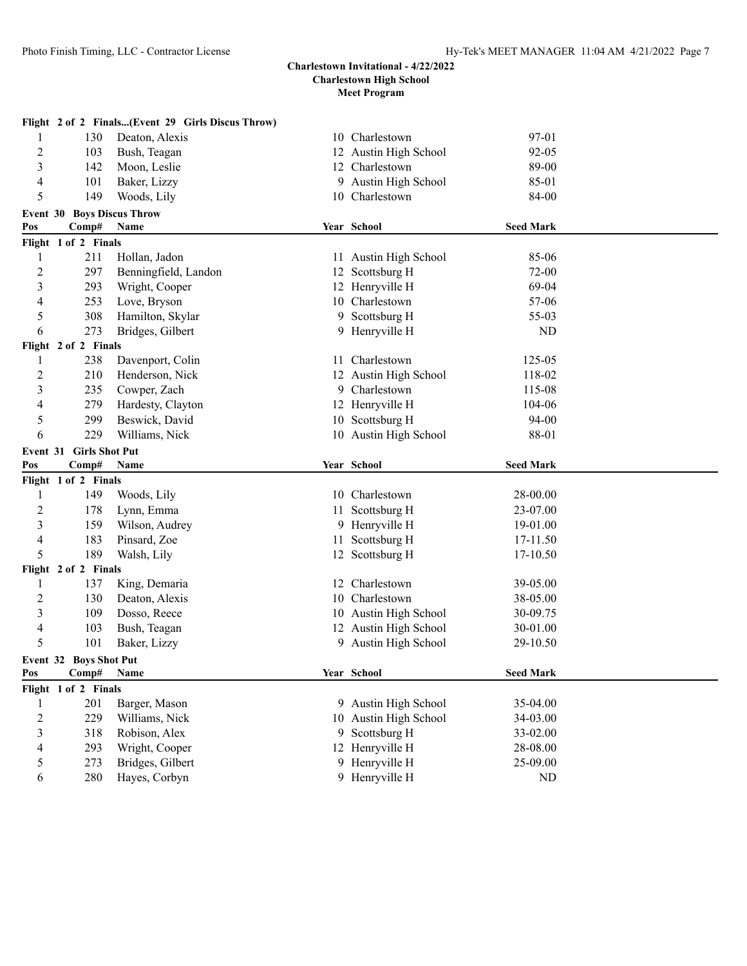## **Meet Program**

|                          |                                   | Flight 2 of 2 Finals(Event 29 Girls Discus Throw) |  |                                  |                  |  |  |
|--------------------------|-----------------------------------|---------------------------------------------------|--|----------------------------------|------------------|--|--|
| 1                        | 130                               | Deaton, Alexis                                    |  | 10 Charlestown                   | 97-01            |  |  |
| $\overline{c}$           | 103                               | Bush, Teagan                                      |  | 12 Austin High School            | $92 - 05$        |  |  |
| 3                        | 142                               | Moon, Leslie                                      |  | 12 Charlestown                   | 89-00            |  |  |
| $\overline{\mathcal{A}}$ | 101                               | Baker, Lizzy                                      |  | 9 Austin High School             | 85-01            |  |  |
| 5                        | 149                               | Woods, Lily                                       |  | 10 Charlestown                   | 84-00            |  |  |
|                          | <b>Event 30 Boys Discus Throw</b> |                                                   |  |                                  |                  |  |  |
| Pos                      | Comp#                             | Name                                              |  | Year School                      | <b>Seed Mark</b> |  |  |
|                          | Flight 1 of 2 Finals              |                                                   |  |                                  |                  |  |  |
| 1                        | 211                               | Hollan, Jadon                                     |  | 11 Austin High School            | 85-06            |  |  |
| $\overline{2}$           | 297                               | Benningfield, Landon                              |  | 12 Scottsburg H                  | 72-00            |  |  |
| 3                        | 293                               | Wright, Cooper                                    |  | 12 Henryville H                  | 69-04            |  |  |
| 4                        | 253                               | Love, Bryson                                      |  | 10 Charlestown                   | 57-06            |  |  |
| 5                        | 308                               | Hamilton, Skylar                                  |  | 9 Scottsburg H                   | 55-03            |  |  |
| 6                        | 273                               | Bridges, Gilbert                                  |  | 9 Henryville H                   | ND               |  |  |
|                          | Flight 2 of 2 Finals              |                                                   |  |                                  |                  |  |  |
| 1                        | 238                               | Davenport, Colin                                  |  | 11 Charlestown                   | 125-05           |  |  |
| $\overline{c}$           | 210                               | Henderson, Nick                                   |  | 12 Austin High School            | 118-02           |  |  |
| 3                        | 235                               | Cowper, Zach                                      |  | 9 Charlestown                    | 115-08           |  |  |
| 4                        | 279                               | Hardesty, Clayton                                 |  | 12 Henryville H                  | 104-06           |  |  |
| 5                        | 299                               | Beswick, David                                    |  | 10 Scottsburg H                  | 94-00            |  |  |
| 6                        | 229                               | Williams, Nick                                    |  | 10 Austin High School            | 88-01            |  |  |
| Event 31 Girls Shot Put  |                                   |                                                   |  |                                  |                  |  |  |
|                          |                                   |                                                   |  |                                  |                  |  |  |
| Pos                      | Comp#                             | Name                                              |  | Year School                      | <b>Seed Mark</b> |  |  |
|                          | Flight 1 of 2 Finals              |                                                   |  |                                  |                  |  |  |
| 1                        | 149                               | Woods, Lily                                       |  | 10 Charlestown                   | 28-00.00         |  |  |
| $\overline{c}$           | 178                               | Lynn, Emma                                        |  | 11 Scottsburg H                  | 23-07.00         |  |  |
| 3                        | 159                               | Wilson, Audrey                                    |  | 9 Henryville H                   | 19-01.00         |  |  |
| $\overline{\mathcal{A}}$ | 183                               | Pinsard, Zoe                                      |  | 11 Scottsburg H                  | 17-11.50         |  |  |
| 5                        | 189                               | Walsh, Lily                                       |  | 12 Scottsburg H                  | 17-10.50         |  |  |
|                          | Flight 2 of 2 Finals              |                                                   |  |                                  |                  |  |  |
| 1                        | 137                               | King, Demaria                                     |  | 12 Charlestown                   | 39-05.00         |  |  |
| $\overline{c}$           | 130                               | Deaton, Alexis                                    |  | 10 Charlestown                   | 38-05.00         |  |  |
| 3                        | 109                               | Dosso, Reece                                      |  | 10 Austin High School            | 30-09.75         |  |  |
| 4                        | 103                               | Bush, Teagan                                      |  | 12 Austin High School            | 30-01.00         |  |  |
| 5                        | 101                               | Baker, Lizzy                                      |  | 9 Austin High School             | 29-10.50         |  |  |
|                          | <b>Event 32 Boys Shot Put</b>     |                                                   |  |                                  |                  |  |  |
| Pos                      | Comp#                             | <b>Name</b>                                       |  | Year School                      | <b>Seed Mark</b> |  |  |
|                          | Flight 1 of 2 Finals              |                                                   |  |                                  |                  |  |  |
| 1                        | 201                               | Barger, Mason                                     |  | 9 Austin High School             | 35-04.00         |  |  |
| $\overline{c}$           | 229                               | Williams, Nick                                    |  | 10 Austin High School            | 34-03.00         |  |  |
| 3                        | 318                               | Robison, Alex                                     |  | 9 Scottsburg H                   | 33-02.00         |  |  |
| 4                        | 293                               | Wright, Cooper                                    |  | 12 Henryville H                  | 28-08.00         |  |  |
| 5                        | 273<br>280                        | Bridges, Gilbert<br>Hayes, Corbyn                 |  | 9 Henryville H<br>9 Henryville H | 25-09.00<br>ND   |  |  |